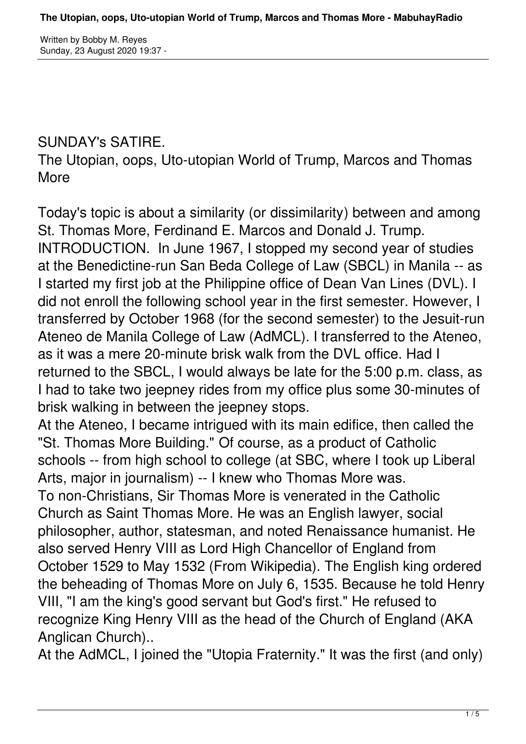## SUNDAY's SATIRE.

The Utopian, oops, Uto-utopian World of Trump, Marcos and Thomas More

Today's topic is about a similarity (or dissimilarity) between and among St. Thomas More, Ferdinand E. Marcos and Donald J. Trump. INTRODUCTION. In June 1967, I stopped my second year of studies at the Benedictine-run San Beda College of Law (SBCL) in Manila -- as I started my first job at the Philippine office of Dean Van Lines (DVL). I did not enroll the following school year in the first semester. However, I transferred by October 1968 (for the second semester) to the Jesuit-run Ateneo de Manila College of Law (AdMCL). I transferred to the Ateneo, as it was a mere 20-minute brisk walk from the DVL office. Had I returned to the SBCL, I would always be late for the 5:00 p.m. class, as I had to take two jeepney rides from my office plus some 30-minutes of brisk walking in between the jeepney stops. At the Ateneo, I became intrigued with its main edifice, then called the

"St. Thomas More Building." Of course, as a product of Catholic schools -- from high school to college (at SBC, where I took up Liberal Arts, major in journalism) -- I knew who Thomas More was. To non-Christians, Sir Thomas More is venerated in the Catholic Church as Saint Thomas More. He was an English lawyer, social philosopher, author, statesman, and noted Renaissance humanist. He also served Henry VIII as Lord High Chancellor of England from October 1529 to May 1532 (From Wikipedia). The English king ordered the beheading of Thomas More on July 6, 1535. Because he told Henry VIII, "I am the king's good servant but God's first." He refused to recognize King Henry VIII as the head of the Church of England (AKA Anglican Church)..

At the AdMCL, I joined the "Utopia Fraternity." It was the first (and only)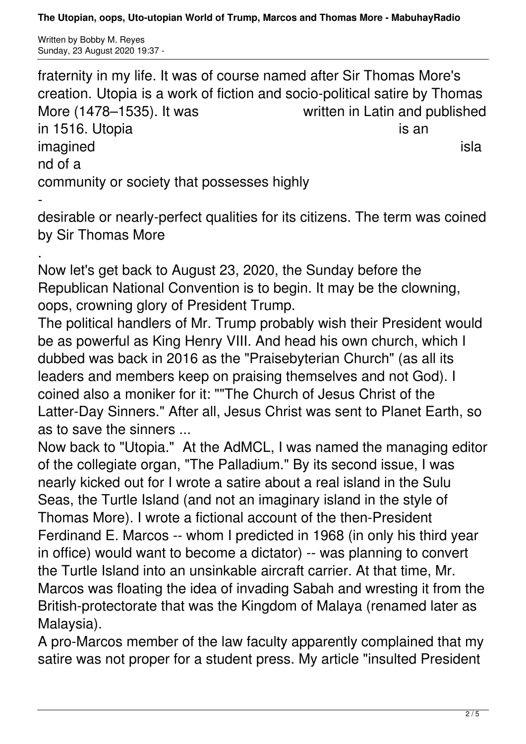**The Utopian, oops, Uto-utopian World of Trump, Marcos and Thomas More - MabuhayRadio**

Written by Bobby M. Reyes Sunday, 23 August 2020 19:37 -

fraternity in my life. It was of course named after Sir Thomas More's creation. Utopia is a work of fiction and socio-political satire by Thomas More (1478–1535). It was **Written in Latin and published** in 1516. Utopia **is an** is an is an is an is an is an is an is an is an is an is an is an is an is an is an is an is an is an is an is an is an is an is an is an is an is an is an is an is an is an is an is an is an is an imagined islaming the state of the state of the state of the state of the state of the state of the state of the state of the state of the state of the state of the state of the state of the state of the state of the state nd of a community or society that possesses highly

 desirable or nearly-perfect qualities for its citizens. The term was coined by Sir Thomas More

. Now let's get back to August 23, 2020, the Sunday before the Republican National Convention is to begin. It may be the clowning, oops, crowning glory of President Trump.

The political handlers of Mr. Trump probably wish their President would be as powerful as King Henry VIII. And head his own church, which I dubbed was back in 2016 as the "Praisebyterian Church" (as all its leaders and members keep on praising themselves and not God). I coined also a moniker for it: ""The Church of Jesus Christ of the Latter-Day Sinners." After all, Jesus Christ was sent to Planet Earth, so as to save the sinners ...

Now back to "Utopia." At the AdMCL, I was named the managing editor of the collegiate organ, "The Palladium." By its second issue, I was nearly kicked out for I wrote a satire about a real island in the Sulu Seas, the Turtle Island (and not an imaginary island in the style of Thomas More). I wrote a fictional account of the then-President Ferdinand E. Marcos -- whom I predicted in 1968 (in only his third year in office) would want to become a dictator) -- was planning to convert the Turtle Island into an unsinkable aircraft carrier. At that time, Mr. Marcos was floating the idea of invading Sabah and wresting it from the British-protectorate that was the Kingdom of Malaya (renamed later as Malaysia).

A pro-Marcos member of the law faculty apparently complained that my satire was not proper for a student press. My article "insulted President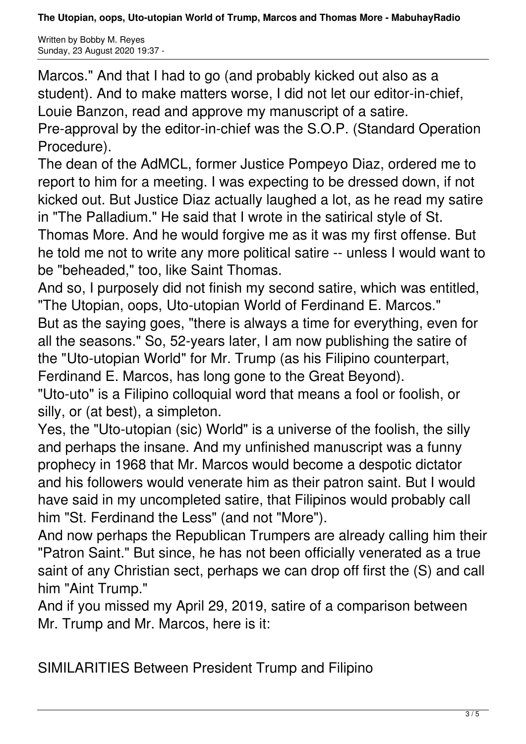**The Utopian, oops, Uto-utopian World of Trump, Marcos and Thomas More - MabuhayRadio**

Written by Bobby M. Reyes Sunday, 23 August 2020 19:37 -

Marcos." And that I had to go (and probably kicked out also as a student). And to make matters worse, I did not let our editor-in-chief, Louie Banzon, read and approve my manuscript of a satire. Pre-approval by the editor-in-chief was the S.O.P. (Standard Operation

Procedure).

The dean of the AdMCL, former Justice Pompeyo Diaz, ordered me to report to him for a meeting. I was expecting to be dressed down, if not kicked out. But Justice Diaz actually laughed a lot, as he read my satire in "The Palladium." He said that I wrote in the satirical style of St. Thomas More. And he would forgive me as it was my first offense. But he told me not to write any more political satire -- unless I would want to be "beheaded," too, like Saint Thomas.

And so, I purposely did not finish my second satire, which was entitled, "The Utopian, oops, Uto-utopian World of Ferdinand E. Marcos." But as the saying goes, "there is always a time for everything, even for all the seasons." So, 52-years later, I am now publishing the satire of the "Uto-utopian World" for Mr. Trump (as his Filipino counterpart, Ferdinand E. Marcos, has long gone to the Great Beyond).

"Uto-uto" is a Filipino colloquial word that means a fool or foolish, or silly, or (at best), a simpleton.

Yes, the "Uto-utopian (sic) World" is a universe of the foolish, the silly and perhaps the insane. And my unfinished manuscript was a funny prophecy in 1968 that Mr. Marcos would become a despotic dictator and his followers would venerate him as their patron saint. But I would have said in my uncompleted satire, that Filipinos would probably call him "St. Ferdinand the Less" (and not "More").

And now perhaps the Republican Trumpers are already calling him their "Patron Saint." But since, he has not been officially venerated as a true saint of any Christian sect, perhaps we can drop off first the (S) and call him "Aint Trump."

And if you missed my April 29, 2019, satire of a comparison between Mr. Trump and Mr. Marcos, here is it:

SIMILARITIES Between President Trump and Filipino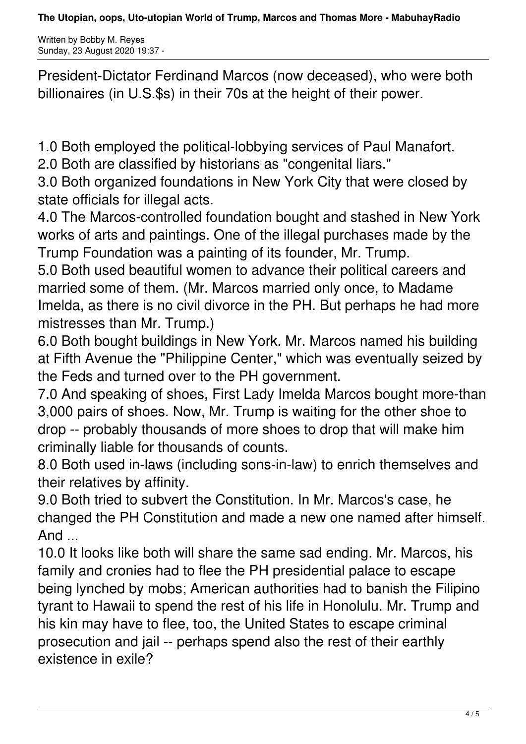Written by Bobby M. Reyes Sunday, 23 August 2020 19:37 -

President-Dictator Ferdinand Marcos (now deceased), who were both billionaires (in U.S.\$s) in their 70s at the height of their power.

1.0 Both employed the political-lobbying services of Paul Manafort.

2.0 Both are classified by historians as "congenital liars."

3.0 Both organized foundations in New York City that were closed by state officials for illegal acts.

4.0 The Marcos-controlled foundation bought and stashed in New York works of arts and paintings. One of the illegal purchases made by the Trump Foundation was a painting of its founder, Mr. Trump.

5.0 Both used beautiful women to advance their political careers and married some of them. (Mr. Marcos married only once, to Madame Imelda, as there is no civil divorce in the PH. But perhaps he had more mistresses than Mr. Trump.)

6.0 Both bought buildings in New York. Mr. Marcos named his building at Fifth Avenue the "Philippine Center," which was eventually seized by the Feds and turned over to the PH government.

7.0 And speaking of shoes, First Lady Imelda Marcos bought more-than 3,000 pairs of shoes. Now, Mr. Trump is waiting for the other shoe to drop -- probably thousands of more shoes to drop that will make him criminally liable for thousands of counts.

8.0 Both used in-laws (including sons-in-law) to enrich themselves and their relatives by affinity.

9.0 Both tried to subvert the Constitution. In Mr. Marcos's case, he changed the PH Constitution and made a new one named after himself. And ...

10.0 It looks like both will share the same sad ending. Mr. Marcos, his family and cronies had to flee the PH presidential palace to escape being lynched by mobs; American authorities had to banish the Filipino tyrant to Hawaii to spend the rest of his life in Honolulu. Mr. Trump and his kin may have to flee, too, the United States to escape criminal prosecution and jail -- perhaps spend also the rest of their earthly existence in exile?